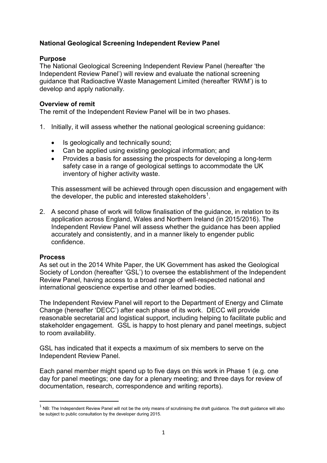# **National Geological Screening Independent Review Panel**

## **Purpose**

The National Geological Screening Independent Review Panel (hereafter 'the Independent Review Panel') will review and evaluate the national screening guidance that Radioactive Waste Management Limited (hereafter 'RWM') is to develop and apply nationally.

## **Overview of remit**

The remit of the Independent Review Panel will be in two phases.

- 1. Initially, it will assess whether the national geological screening guidance:
	- Is geologically and technically sound;
	- Can be applied using existing geological information; and
	- Provides a basis for assessing the prospects for developing a long-term safety case in a range of geological settings to accommodate the UK inventory of higher activity waste.

This assessment will be achieved through open discussion and engagement with the developer, the public and interested stakeholders<sup>[1](#page-0-0)</sup>.

2. A second phase of work will follow finalisation of the guidance, in relation to its application across England, Wales and Northern Ireland (in 2015/2016). The Independent Review Panel will assess whether the guidance has been applied accurately and consistently, and in a manner likely to engender public confidence.

### **Process**

As set out in the 2014 White Paper, the UK Government has asked the Geological Society of London (hereafter 'GSL') to oversee the establishment of the Independent Review Panel, having access to a broad range of well-respected national and international geoscience expertise and other learned bodies.

The Independent Review Panel will report to the Department of Energy and Climate Change (hereafter 'DECC') after each phase of its work. DECC will provide reasonable secretarial and logistical support, including helping to facilitate public and stakeholder engagement. GSL is happy to host plenary and panel meetings, subject to room availability.

GSL has indicated that it expects a maximum of six members to serve on the Independent Review Panel.

Each panel member might spend up to five days on this work in Phase 1 (e.g. one day for panel meetings; one day for a plenary meeting; and three days for review of documentation, research, correspondence and writing reports).

<span id="page-0-0"></span> $<sup>1</sup>$  NB: The Independent Review Panel will not be the only means of scrutinising the draft quidance. The draft guidance will also</sup> be subject to public consultation by the developer during 2015.